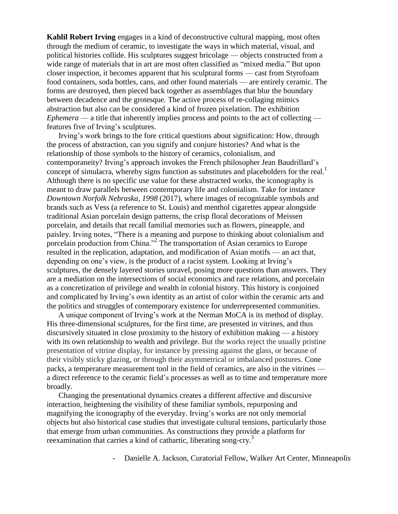**Kahlil Robert Irving** engages in a kind of deconstructive cultural mapping, most often through the medium of ceramic, to investigate the ways in which material, visual, and political histories collide. His sculptures suggest bricolage — objects constructed from a wide range of materials that in art are most often classified as "mixed media." But upon closer inspection, it becomes apparent that his sculptural forms — cast from Styrofoam food containers, soda bottles, cans, and other found materials — are entirely ceramic. The forms are destroyed, then pieced back together as assemblages that blur the boundary between decadence and the grotesque. The active process of re-collaging mimics abstraction but also can be considered a kind of frozen pixelation. The exhibition *Ephemera* — a title that inherently implies process and points to the act of collecting features five of Irving's sculptures.

Irving's work brings to the fore critical questions about signification: How, through the process of abstraction, can you signify and conjure histories? And what is the relationship of those symbols to the history of ceramics, colonialism, and contemporaneity? Irving's approach invokes the French philosopher Jean Baudrillard's concept of simulacra, whereby signs function as substitutes and placeholders for the real.<sup>1</sup> Although there is no specific use value for these abstracted works, the iconography is meant to draw parallels between contemporary life and colonialism. Take for instance *Downtown Norfolk Nebraska, 1998* (2017), where images of recognizable symbols and brands such as Vess (a reference to St. Louis) and menthol cigarettes appear alongside traditional Asian porcelain design patterns, the crisp floral decorations of Meissen porcelain, and details that recall familial memories such as flowers, pineapple, and paisley. Irving notes, "There is a meaning and purpose to thinking about colonialism and porcelain production from China." 2 The transportation of Asian ceramics to Europe resulted in the replication, adaptation, and modification of Asian motifs — an act that, depending on one's view, is the product of a racist system. Looking at Irving's sculptures, the densely layered stories unravel, posing more questions than answers. They are a mediation on the intersections of social economics and race relations, and porcelain as a concretization of privilege and wealth in colonial history. This history is conjoined and complicated by Irving's own identity as an artist of color within the ceramic arts and the politics and struggles of contemporary existence for underrepresented communities.

A unique component of Irving's work at the Nerman MoCA is its method of display. His three-dimensional sculptures, for the first time, are presented in vitrines, and thus discursively situated in close proximity to the history of exhibition making — a history with its own relationship to wealth and privilege. But the works reject the usually pristine presentation of vitrine display, for instance by pressing against the glass, or because of their visibly sticky glazing, or through their asymmetrical or imbalanced postures. Cone packs, a temperature measurement tool in the field of ceramics, are also in the vitrines a direct reference to the ceramic field's processes as well as to time and temperature more broadly.

Changing the presentational dynamics creates a different affective and discursive interaction, heightening the visibility of these familiar symbols, repurposing and magnifying the iconography of the everyday. Irving's works are not only memorial objects but also historical case studies that investigate cultural tensions, particularly those that emerge from urban communities. As constructions they provide a platform for reexamination that carries a kind of cathartic, liberating song-cry.<sup>3</sup>

- Danielle A. Jackson, Curatorial Fellow, Walker Art Center, Minneapolis